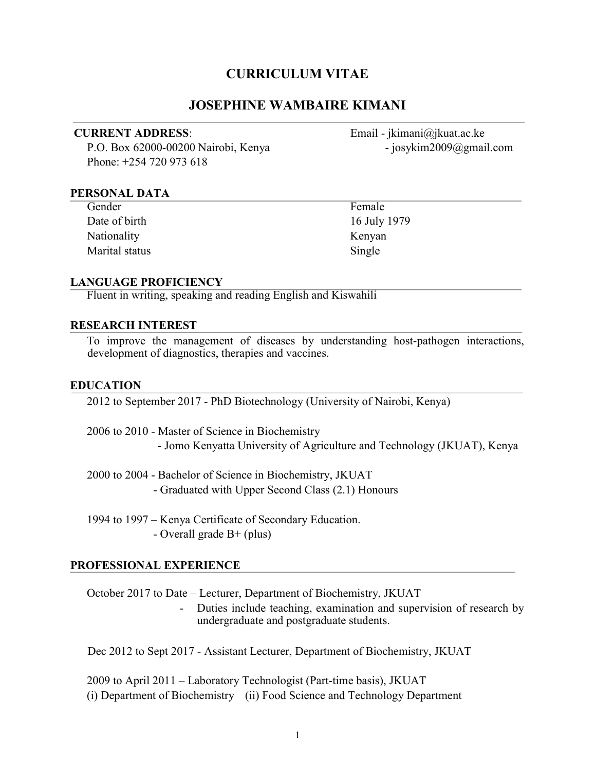# CURRICULUM VITAE

#### JOSEPHINE WAMBAIRE KIMANI

P.O. Box 62000-00200 Nairobi, Kenya - josykim2009@gmail.com Phone: +254 720 973 618

CURRENT ADDRESS: Email - jkimani@jkuat.ac.ke

#### PERSONAL DATA

 $\overline{a}$ 

| Gender         | Female    |
|----------------|-----------|
| Date of birth  | $16$ July |
| Nationality    | Kenyan    |
| Marital status | Single    |

16 July 1979 Kenyan

#### LANGUAGE PROFICIENCY

Fluent in writing, speaking and reading English and Kiswahili

#### RESEARCH INTEREST

To improve the management of diseases by understanding host-pathogen interactions, development of diagnostics, therapies and vaccines.

#### EDUCATION

2012 to September 2017 - PhD Biotechnology (University of Nairobi, Kenya)

2006 to 2010 - Master of Science in Biochemistry - Jomo Kenyatta University of Agriculture and Technology (JKUAT), Kenya

2000 to 2004 - Bachelor of Science in Biochemistry, JKUAT - Graduated with Upper Second Class (2.1) Honours

1994 to 1997 – Kenya Certificate of Secondary Education. - Overall grade B+ (plus)

#### PROFESSIONAL EXPERIENCE

October 2017 to Date – Lecturer, Department of Biochemistry, JKUAT

- Duties include teaching, examination and supervision of research by undergraduate and postgraduate students.

Dec 2012 to Sept 2017 - Assistant Lecturer, Department of Biochemistry, JKUAT

2009 to April 2011 – Laboratory Technologist (Part-time basis), JKUAT (i) Department of Biochemistry (ii) Food Science and Technology Department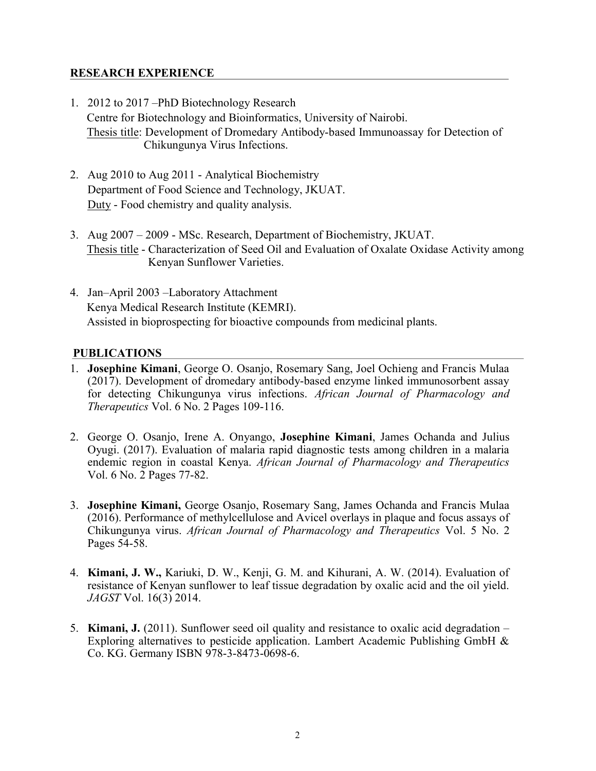## RESEARCH EXPERIENCE

- 1. 2012 to 2017 –PhD Biotechnology Research Centre for Biotechnology and Bioinformatics, University of Nairobi. Thesis title: Development of Dromedary Antibody-based Immunoassay for Detection of Chikungunya Virus Infections.
- 2. Aug 2010 to Aug 2011 Analytical Biochemistry Department of Food Science and Technology, JKUAT. Duty - Food chemistry and quality analysis.
- 3. Aug 2007 2009 MSc. Research, Department of Biochemistry, JKUAT. Thesis title - Characterization of Seed Oil and Evaluation of Oxalate Oxidase Activity among Kenyan Sunflower Varieties.
- 4. Jan–April 2003 –Laboratory Attachment Kenya Medical Research Institute (KEMRI). Assisted in bioprospecting for bioactive compounds from medicinal plants.

## PUBLICATIONS

- 1. Josephine Kimani, George O. Osanjo, Rosemary Sang, Joel Ochieng and Francis Mulaa (2017). Development of dromedary antibody-based enzyme linked immunosorbent assay for detecting Chikungunya virus infections. African Journal of Pharmacology and Therapeutics Vol. 6 No. 2 Pages 109-116.
- 2. George O. Osanjo, Irene A. Onyango, Josephine Kimani, James Ochanda and Julius Oyugi. (2017). Evaluation of malaria rapid diagnostic tests among children in a malaria endemic region in coastal Kenya. African Journal of Pharmacology and Therapeutics Vol. 6 No. 2 Pages 77-82.
- 3. Josephine Kimani, George Osanjo, Rosemary Sang, James Ochanda and Francis Mulaa (2016). Performance of methylcellulose and Avicel overlays in plaque and focus assays of Chikungunya virus. African Journal of Pharmacology and Therapeutics Vol. 5 No. 2 Pages 54-58.
- 4. Kimani, J. W., Kariuki, D. W., Kenji, G. M. and Kihurani, A. W. (2014). Evaluation of resistance of Kenyan sunflower to leaf tissue degradation by oxalic acid and the oil yield. JAGST Vol. 16(3) 2014.
- 5. **Kimani, J.** (2011). Sunflower seed oil quality and resistance to oxalic acid degradation Exploring alternatives to pesticide application. Lambert Academic Publishing GmbH & Co. KG. Germany ISBN 978-3-8473-0698-6.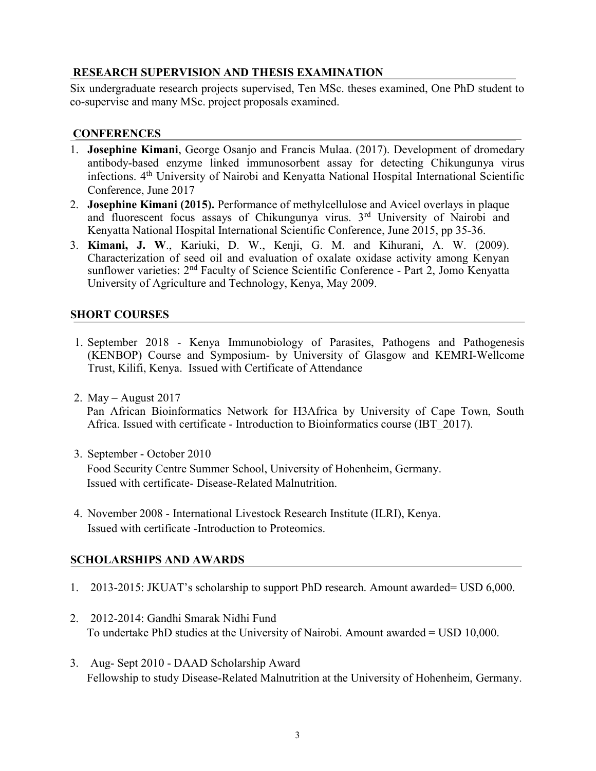## RESEARCH SUPERVISION AND THESIS EXAMINATION

Six undergraduate research projects supervised, Ten MSc. theses examined, One PhD student to co-supervise and many MSc. project proposals examined.

### **CONFERENCES**

- 1. Josephine Kimani, George Osanjo and Francis Mulaa. (2017). Development of dromedary antibody-based enzyme linked immunosorbent assay for detecting Chikungunya virus infections. 4th University of Nairobi and Kenyatta National Hospital International Scientific Conference, June 2017
- 2. Josephine Kimani (2015). Performance of methylcellulose and Avicel overlays in plaque and fluorescent focus assays of Chikungunya virus. 3rd University of Nairobi and Kenyatta National Hospital International Scientific Conference, June 2015, pp 35-36.
- 3. Kimani, J. W., Kariuki, D. W., Kenji, G. M. and Kihurani, A. W. (2009). Characterization of seed oil and evaluation of oxalate oxidase activity among Kenyan sunflower varieties: 2<sup>nd</sup> Faculty of Science Scientific Conference - Part 2, Jomo Kenyatta University of Agriculture and Technology, Kenya, May 2009.

# SHORT COURSES

- 1. September 2018 Kenya Immunobiology of Parasites, Pathogens and Pathogenesis (KENBOP) Course and Symposium- by University of Glasgow and KEMRI-Wellcome Trust, Kilifi, Kenya. Issued with Certificate of Attendance
- 2. May August 2017 Pan African Bioinformatics Network for H3Africa by University of Cape Town, South Africa. Issued with certificate - Introduction to Bioinformatics course (IBT\_2017).
- 3. September October 2010 Food Security Centre Summer School, University of Hohenheim, Germany. Issued with certificate- Disease-Related Malnutrition.
- 4. November 2008 International Livestock Research Institute (ILRI), Kenya. Issued with certificate -Introduction to Proteomics.

# SCHOLARSHIPS AND AWARDS

- 1. 2013-2015: JKUAT's scholarship to support PhD research. Amount awarded= USD 6,000.
- 2. 2012-2014: Gandhi Smarak Nidhi Fund To undertake PhD studies at the University of Nairobi. Amount awarded = USD 10,000.
- 3. Aug- Sept 2010 DAAD Scholarship Award Fellowship to study Disease-Related Malnutrition at the University of Hohenheim, Germany.